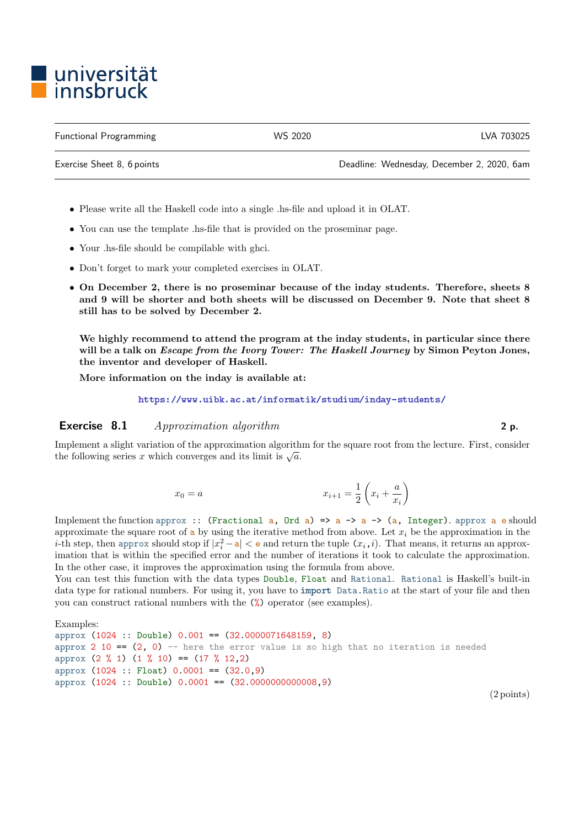## ■ universität<br>■ innsbruck

Functional Programming WS 2020 LVA 703025

Exercise Sheet 8, 6 points Deadline: Wednesday, December 2, 2020, 6am

- Please write all the Haskell code into a single .hs-file and upload it in OLAT.
- You can use the template .hs-file that is provided on the proseminar page.
- Your .hs-file should be compilable with ghci.
- Don't forget to mark your completed exercises in OLAT.
- On December 2, there is no proseminar because of the inday students. Therefore, sheets 8 and 9 will be shorter and both sheets will be discussed on December 9. Note that sheet 8 still has to be solved by December 2.

We highly recommend to attend the program at the inday students, in particular since there will be a talk on *Escape from the Ivory Tower: The Haskell Journey* by Simon Peyton Jones, the inventor and developer of Haskell.

More information on the inday is available at:

<https://www.uibk.ac.at/informatik/studium/inday-students/>

## Exercise 8.1 Approximation algorithm 2 p.

Implement a slight variation of the approximation algorithm for the square root from the lecture. First, consider the following series x which converges and its limit is  $\sqrt{a}$ .

$$
x_0 = a \qquad \qquad x_{i+1} = \frac{1}{2} \left( x_i + \frac{a}{x_i} \right)
$$

Implement the function approx :: (Fractional a, Ord a) => a -> a -> (a, Integer). approx a e should approximate the square root of  $\alpha$  by using the iterative method from above. Let  $x_i$  be the approximation in the *i*-th step, then approx should stop if  $|x_i^2 - a| < e$  and return the tuple  $(x_i, i)$ . That means, it returns an approximation that is within the specified error and the number of iterations it took to calculate the approximation. In the other case, it improves the approximation using the formula from above.

You can test this function with the data types Double, Float and Rational. Rational is Haskell's built-in data type for rational numbers. For using it, you have to import Data.Ratio at the start of your file and then you can construct rational numbers with the (%) operator (see examples).

```
Examples:
approx (1024 :: Double) 0.001 == (32.0000071648159, 8)
approx 2 10 == (2, 0) -- here the error value is so high that no iteration is needed
approx (2 \frac{9}{6} 1) (1 \frac{9}{6} 10) = (17 \frac{9}{6} 12, 2)approx (1024 :: Float) 0.0001 == (32.0,9)
approx (1024 :: Double) 0.0001 == (32.0000000000008,9)
```
(2 points)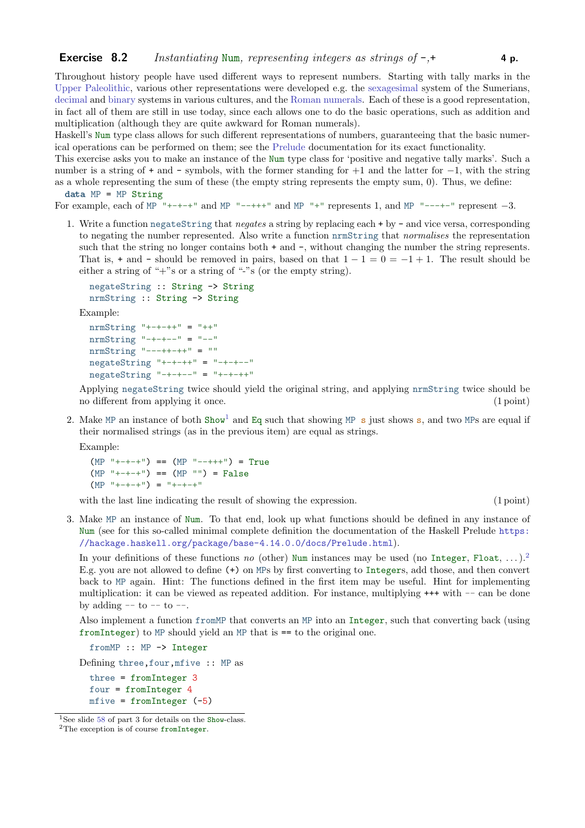Throughout history people have used different ways to represent numbers. Starting with tally marks in the [Upper Paleolithic,](https://en.wikipedia.org/wiki/Tally_marks) various other representations were developed e.g. the [sexagesimal](https://en.wikipedia.org/wiki/Sexagesimal) system of the Sumerians, [decimal](https://en.wikipedia.org/wiki/Decimal) and [binary](https://en.wikipedia.org/wiki/Binary_number) systems in various cultures, and the [Roman numerals.](https://en.wikipedia.org/wiki/Roman_numerals) Each of these is a good representation, in fact all of them are still in use today, since each allows one to do the basic operations, such as addition and multiplication (although they are quite awkward for Roman numerals).

Haskell's Num type class allows for such different representations of numbers, guaranteeing that the basic numerical operations can be performed on them; see the [Prelude](https://hackage.haskell.org/package/base-4.14.0.0/docs/Prelude.html) documentation for its exact functionality.

This exercise asks you to make an instance of the Num type class for 'positive and negative tally marks'. Such a number is a string of + and - symbols, with the former standing for +1 and the latter for −1, with the string as a whole representing the sum of these (the empty string represents the empty sum, 0). Thus, we define: data MP = MP String

For example, each of MP  $^{\top}$  +-+-+" and MP  $^{\top}$ --+++" and MP  $^{\top}$ +" represents 1, and MP  $^{\top}$ --+-" represent -3.

1. Write a function negateString that negates a string by replacing each + by - and vice versa, corresponding to negating the number represented. Also write a function nrmString that normalises the representation such that the string no longer contains both + and -, without changing the number the string represents. That is, + and - should be removed in pairs, based on that  $1 - 1 = 0 = -1 + 1$ . The result should be either a string of "+"s or a string of "-"s (or the empty string).

```
negateString :: String -> String
nrmString :: String -> String
```
Example:

```
n r mString "+-+-++" = "++"
nrmString "-+-+--" = "--"
n r mString "---++-++" = ""
negativeString "+-+-++" = "-+-+--"
negativeString "-+-+--" = "+-+-++"
```
Applying negateString twice should yield the original string, and applying nrmString twice should be no different from applying it once. (1 point)

2. Make MP an instance of both Show<sup>[1](#page-1-0)</sup> and Eq such that showing MP s just shows s, and two MPs are equal if their normalised strings (as in the previous item) are equal as strings.

Example:

```
(MP^{-1}+-+-+") == (MP^{-1}--+++") = True
(MP^{-n}+-+...') == (MP^{-n}) = False(MP^{-1}+-+-+<sup>11</sup>) = T+-+-+<sup>11</sup>
```
with the last line indicating the result of showing the expression. (1 point) (1 point)

3. Make MP an instance of Num. To that end, look up what functions should be defined in any instance of Num (see for this so-called minimal complete definition the documentation of the Haskell Prelude [https:](https://hackage.haskell.org/package/base-4.14.0.0/docs/Prelude.html) [//hackage.haskell.org/package/base-4.14.0.0/docs/Prelude.html](https://hackage.haskell.org/package/base-4.14.0.0/docs/Prelude.html)).

In your definitions of these functions no (other) Num instances may be used (no Integer, Float, ...).<sup>[2](#page-1-1)</sup> E.g. you are not allowed to define (+) on MPs by first converting to Integers, add those, and then convert back to MP again. Hint: The functions defined in the first item may be useful. Hint for implementing multiplication: it can be viewed as repeated addition. For instance, multiplying +++ with -- can be done by adding  $-$  to  $-$  to  $-$ .

Also implement a function fromMP that converts an MP into an Integer, such that converting back (using fromInteger) to MP should yield an MP that is == to the original one.

fromMP :: MP -> Integer

Defining three,four,mfive :: MP as

three = fromInteger 3 four = fromInteger 4 mfive = fromInteger  $(-5)$ 

<span id="page-1-0"></span><sup>&</sup>lt;sup>1</sup>See slide [58](http://cl-informatik.uibk.ac.at/teaching/ws20/fp/slides/03x1.pdf#page=58) of part 3 for details on the Show-class.

<span id="page-1-1"></span><sup>&</sup>lt;sup>2</sup>The exception is of course fromInteger.